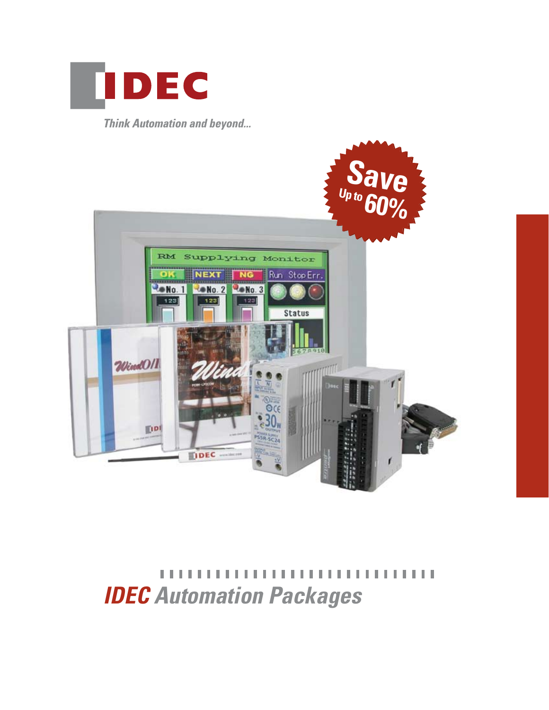

**Think Automation and beyond...** 



,,,,,,,,,,,,,,,,,,,,,, TГ H. H. *IDEC Automation Packages*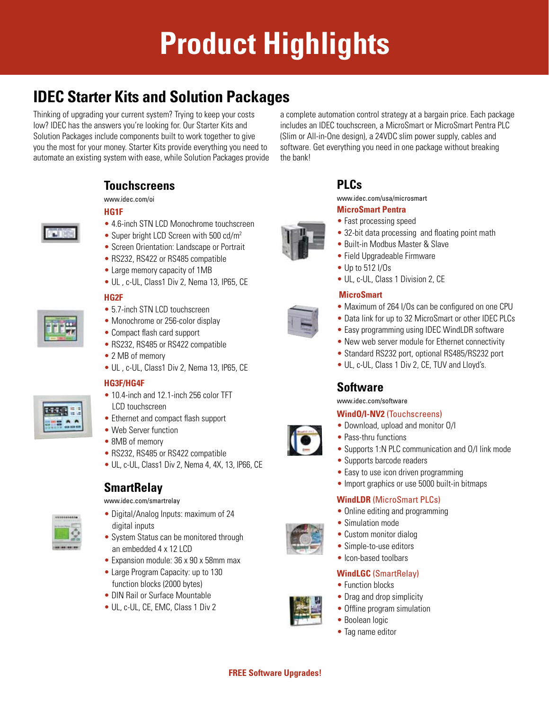# **Product Highlights**

# **IDEC Starter Kits and Solution Packages**

Thinking of upgrading your current system? Trying to keep your costs low? IDEC has the answers you're looking for. Our Starter Kits and Solution Packages include components built to work together to give you the most for your money. Starter Kits provide everything you need to automate an existing system with ease, while Solution Packages provide

> **Touchscreens** www.idec.com/oi



- **HG1F**
- 4.6-inch STN LCD Monochrome touchscreen
- Super bright LCD Screen with 500 cd/m<sup>2</sup>
- Screen Orientation: Landscape or Portrait
- RS232, RS422 or RS485 compatible
- Large memory capacity of 1MB
- UL , c-UL, Class1 Div 2, Nema 13, IP65, CE

### **HG2F**

- 5.7-inch STN LCD touchscreen
- Monochrome or 256-color display
- Compact flash card support
- RS232, RS485 or RS422 compatible
- 2 MB of memory
- UL , c-UL, Class1 Div 2, Nema 13, IP65, CE

### **HG3F/HG4F**



- 10.4-inch and 12.1-inch 256 color TFT LCD touchscreen
- Ethernet and compact flash support
- Web Server function
- 8MB of memory
- RS232, RS485 or RS422 compatible
- UL, c-UL, Class1 Div 2, Nema 4, 4X, 13, IP66, CE

# **SmartRelay**



- www.idec.com/smartrelay
- Digital/Analog Inputs: maximum of 24 digital inputs
- System Status can be monitored through an embedded 4 x 12 LCD
- Expansion module: 36 x 90 x 58mm max
- Large Program Capacity: up to 130 function blocks (2000 bytes)
- DIN Rail or Surface Mountable
- UL, c-UL, CE, EMC, Class 1 Div 2

a complete automation control strategy at a bargain price. Each package includes an IDEC touchscreen, a MicroSmart or MicroSmart Pentra PLC (Slim or All-in-One design), a 24VDC slim power supply, cables and software. Get everything you need in one package without breaking the bank!



www.idec.com/usa/microsmart

### **MicroSmart Pentra**

- Fast processing speed
- 32-bit data processing and floating point math
- Built-in Modbus Master & Slave
- Field Upgradeable Firmware
- Up to 512 I/Os
- UL, c-UL, Class 1 Division 2, CE

### **MicroSmart**

- Maximum of 264 I/Os can be configured on one CPU
- Data link for up to 32 MicroSmart or other IDEC PLCs
- Easy programming using IDEC WindLDR software
- New web server module for Ethernet connectivity
- Standard RS232 port, optional RS485/RS232 port
- UL, c-UL, Class 1 Div 2, CE, TUV and Lloyd's.

### **Software**

www.idec.com/software

### **WindO/I-NV2** (Touchscreens)

- Download, upload and monitor O/I
- Pass-thru functions
- Supports 1:N PLC communication and O/I link mode
- Supports barcode readers
- Easy to use icon driven programming
- Import graphics or use 5000 built-in bitmaps

### **WindLDR** (MicroSmart PLCs)

- Online editing and programming
- Simulation mode
- Custom monitor dialog
- Simple-to-use editors
- Icon-based toolbars

### **WindLGC** (SmartRelay)

- Function blocks
- Drag and drop simplicity
- Offline program simulation
- Boolean logic
- Tag name editor

































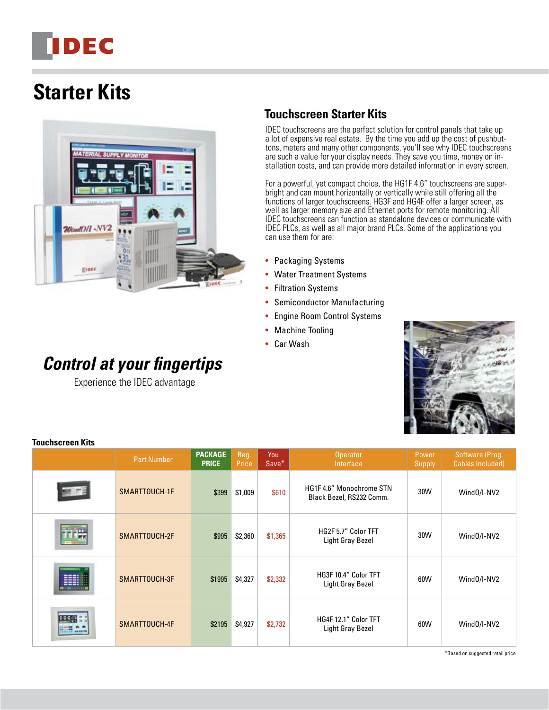# **IDEC**

# **Starter Kits**



# *Control at your fingertips*

Experience the IDEC advantage

# **Touchscreen Starter Kits**

IDEC touchscreens are the perfect solution for control panels that take up a lot of expensive real estate. By the time you add up the cost of pushbuttons, meters and many other components, you'll see why IDEC touchscreens are such a value for your display needs. They save you time, money on installation costs, and can provide more detailed information in every screen.

For a powerful, yet compact choice, the HG1F 4.6" touchscreens are superbright and can mount horizontally or vertically while still offering all the functions of larger touchscreens. HG3F and HG4F offer a larger screen, as well as larger memory size and Ethernet ports for remote monitoring. All IDEC touchscreens can function as standalone devices or communicate with IDEC PLCs, as well as all major brand PLCs. Some of the applications you can use them for are:

- Packaging Systems
- Water Treatment Systems
- Filtration Systems
- Semiconductor Manufacturing
- Engine Room Control Systems
- Machine Tooling
- Car Wash



| <b>Part Number</b> | <b>PACKAGE</b><br><b>PRICE</b> | Reg.<br>Price | You<br>Save* | <b>Operator</b><br>Interface                        | Power<br>Supply | Software (Prog.<br><b>Cables Included)</b> |
|--------------------|--------------------------------|---------------|--------------|-----------------------------------------------------|-----------------|--------------------------------------------|
| SMARTTOUCH-1F      | \$399                          | \$1,009       | \$610        | HG1F4.6" Monochrome STN<br>Black Bezel, RS232 Comm. | 30W             | Wind0/I-NV2                                |
| SMARTTOUCH-2F      | \$995                          | \$2,360       | \$1,365      | HG2F 5.7" Color TFT<br><b>Light Gray Bezel</b>      | 30W             | Wind0/I-NV2                                |
| SMARTTOUCH-3F      | \$1995                         | \$4,327       | \$2,332      | HG3F 10.4" Color TFT<br>Light Gray Bezel            | 60W             | Wind0/I-NV2                                |
| SMARTTOUCH-4F      | \$2195                         | \$4,927       | \$2,732      | HG4F 12.1" Color TFT<br><b>Light Gray Bezel</b>     | 60W             | Wind0/I-NV2                                |

**Touchscreen Kits**

\*Based on suggested retail price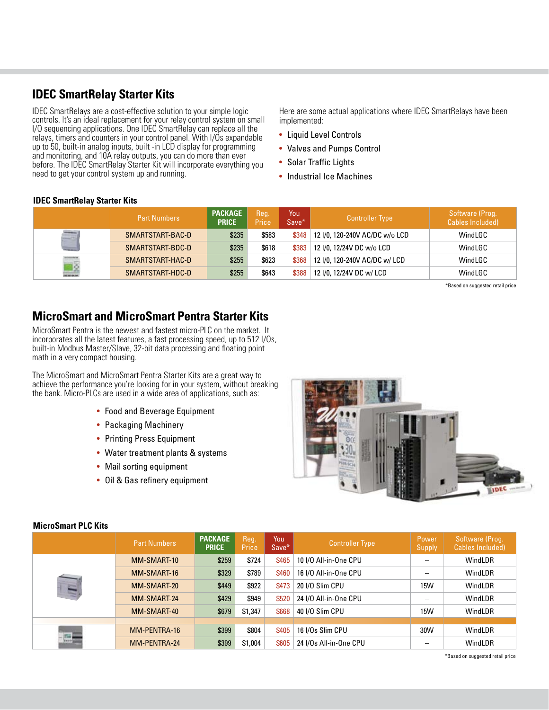### **IDEC SmartRelay Starter Kits**

IDEC SmartRelays are a cost-effective solution to your simple logic controls. It's an ideal replacement for your relay control system on small I/O sequencing applications. One IDEC SmartRelay can replace all the relays, timers and counters in your control panel. With I/Os expandable up to 50, built-in analog inputs, built -in LCD display for programming and monitoring, and 10A relay outputs, you can do more than ever before. The IDEC SmartRelay Starter Kit will incorporate everything you need to get your control system up and running.

Here are some actual applications where IDEC SmartRelays have been implemented:

- Liquid Level Controls
- Valves and Pumps Control
- Solar Traffic Lights
- Industrial Ice Machines

#### **IDEC SmartRelay Starter Kits**

|           | <b>Part Numbers</b> | <b>PACKAGE</b><br><b>PRICE</b> | Reg.<br>Price | You<br>Save* | <b>Controller Type</b>                 | Software (Prog.<br>Cables Included) |
|-----------|---------------------|--------------------------------|---------------|--------------|----------------------------------------|-------------------------------------|
|           | SMARTSTART-BAC-D    | \$235                          | \$583         |              | \$348   12 I/0, 120-240V AC/DC w/o LCD | WindLGC                             |
| $-$       | SMARTSTART-BDC-D    | \$235                          | \$618         | \$383        | 12 I/0, 12/24V DC w/o LCD              | WindLGC                             |
| <b>To</b> | SMARTSTART-HAC-D    | \$255                          | \$623         | \$368        | 12 I/0, 120-240V AC/DC w/ LCD          | WindLGC                             |
|           | SMARTSTART-HDC-D    | \$255                          | \$643         | \$388        | 12 I/0, 12/24V DC w/ LCD               | WindLGC                             |

\*Based on suggested retail price

### **MicroSmart and MicroSmart Pentra Starter Kits**

MicroSmart Pentra is the newest and fastest micro-PLC on the market. It incorporates all the latest features, a fast processing speed, up to 512 I/Os, built-in Modbus Master/Slave, 32-bit data processing and floating point math in a very compact housing.

The MicroSmart and MicroSmart Pentra Starter Kits are a great way to achieve the performance you're looking for in your system, without breaking the bank. Micro-PLCs are used in a wide area of applications, such as:

- Food and Beverage Equipment
- Packaging Machinery
- Printing Press Equipment
- Water treatment plants & systems
- Mail sorting equipment
- Oil & Gas refinery equipment



|              | <b>Part Numbers</b> | <b>PACKAGE</b><br><b>PRICE</b> | Reg.<br>Price | You<br>Save* | <b>Controller Type</b> | Power<br>Supply          | Software (Prog.<br>Cables Included) |
|--------------|---------------------|--------------------------------|---------------|--------------|------------------------|--------------------------|-------------------------------------|
|              | MM-SMART-10         | \$259                          | \$724         | \$465        | 10 I/O All-in-One CPU  | $\overline{\phantom{m}}$ | <b>WindLDR</b>                      |
|              | MM-SMART-16         | \$329                          | \$789         | \$460        | 16 I/O All-in-One CPU  |                          | WindLDR                             |
| $\mathbf{u}$ | MM-SMART-20         | \$449                          | \$922         | \$473        | 20 I/O Slim CPU        | 15W                      | WindLDR                             |
|              | MM-SMART-24         | \$429                          | \$949         | \$520        | 24 I/O All-in-One CPU  |                          | <b>WindLDR</b>                      |
|              | MM-SMART-40         | \$679                          | \$1,347       | \$668        | 40 I/O Slim CPU        | 15W                      | <b>WindLDR</b>                      |
|              |                     |                                |               |              |                        |                          |                                     |
|              | MM-PENTRA-16        | \$399                          | \$804         | \$405        | 16 I/Os Slim CPU       | 30W                      | WindLDR                             |
| 品言           | MM-PENTRA-24        | \$399                          | \$1,004       | \$605        | 24 I/Os All-in-One CPU |                          | WindLDR                             |

#### **MicroSmart PLC Kits**

\*Based on suggested retail price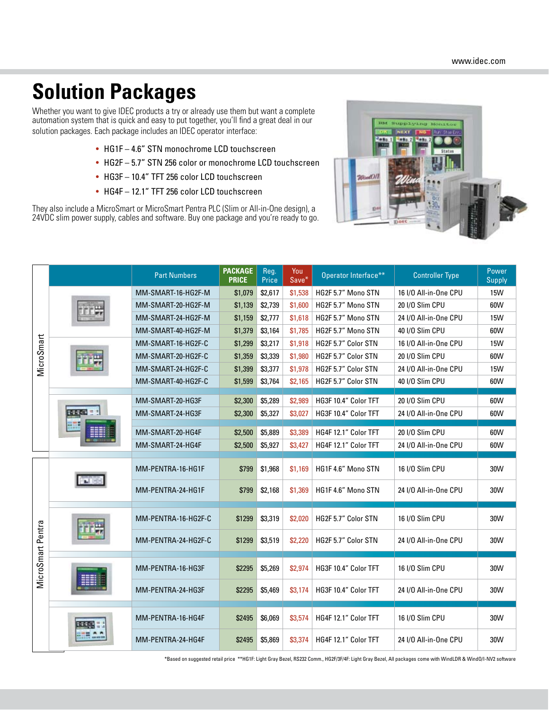# **Solution Packages**

Whether you want to give IDEC products a try or already use them but want a complete automation system that is quick and easy to put together, you'll find a great deal in our solution packages. Each package includes an IDEC operator interface:

- HG1F 4.6" STN monochrome LCD touchscreen
- HG2F 5.7" STN 256 color or monochrome LCD touchscreen
- HG3F 10.4" TFT 256 color LCD touchscreen
- HG4F 12.1" TFT 256 color LCD touchscreen

They also include a MicroSmart or MicroSmart Pentra PLC (Slim or All-in-One design), a 24VDC slim power supply, cables and software. Buy one package and you're ready to go.



| MicroSmart        |  | <b>Part Numbers</b> | <b>PACKAGE</b><br><b>PRICE</b> | Reg.<br>Price | You<br>Save* | Operator Interface** | <b>Controller Type</b> | Power<br><b>Supply</b> |
|-------------------|--|---------------------|--------------------------------|---------------|--------------|----------------------|------------------------|------------------------|
|                   |  | MM-SMART-16-HG2F-M  | \$1,079                        | \$2,617       | \$1,538      | HG2F 5.7" Mono STN   | 16 I/O All-in-One CPU  | 15W                    |
|                   |  | MM-SMART-20-HG2F-M  | \$1,139                        | \$2,739       | \$1,600      | HG2F 5.7" Mono STN   | 20 I/O Slim CPU        | 60W                    |
|                   |  | MM-SMART-24-HG2F-M  | \$1,159                        | \$2,777       | \$1,618      | HG2F 5.7" Mono STN   | 24 I/O All-in-One CPU  | 15W                    |
|                   |  | MM-SMART-40-HG2F-M  | \$1,379                        | \$3,164       | \$1,785      | HG2F 5.7" Mono STN   | 40 I/O Slim CPU        | 60W                    |
|                   |  | MM-SMART-16-HG2F-C  | \$1,299                        | \$3,217       | \$1,918      | HG2F 5.7" Color STN  | 16 I/O All-in-One CPU  | 15W                    |
|                   |  | MM-SMART-20-HG2F-C  | \$1,359                        | \$3,339       | \$1,980      | HG2F 5.7" Color STN  | 20 I/O Slim CPU        | 60W                    |
|                   |  | MM-SMART-24-HG2F-C  | \$1,399                        | \$3,377       | \$1,978      | HG2F 5.7" Color STN  | 24 I/O All-in-One CPU  | 15W                    |
|                   |  | MM-SMART-40-HG2F-C  | \$1,599                        | \$3,764       | \$2,165      | HG2F 5.7" Color STN  | 40 I/O Slim CPU        | 60W                    |
|                   |  | MM-SMART-20-HG3F    | \$2,300                        | \$5,289       | \$2,989      | HG3F 10.4" Color TFT | 20 I/O Slim CPU        | 60W                    |
|                   |  | MM-SMART-24-HG3F    | \$2,300                        | \$5,327       | \$3,027      | HG3F 10.4" Color TFT | 24 I/O All-in-One CPU  | 60W                    |
|                   |  |                     |                                |               |              |                      |                        |                        |
|                   |  | MM-SMART-20-HG4F    | \$2,500                        | \$5,889       | \$3,389      | HG4F 12.1" Color TFT | 20 I/O Slim CPU        | 60W                    |
|                   |  | MM-SMART-24-HG4F    | \$2,500                        | \$5,927       | \$3,427      | HG4F 12.1" Color TFT | 24 I/O All-in-One CPU  | 60W                    |
| MicroSmart Pentra |  | MM-PENTRA-16-HG1F   | \$799                          | \$1,968       | \$1,169      | HG1F 4.6" Mono STN   | 16 I/O Slim CPU        | 30W                    |
|                   |  | MM-PENTRA-24-HG1F   | \$799                          | \$2,168       | \$1,369      | HG1F 4.6" Mono STN   | 24 I/O All-in-One CPU  | 30W                    |
|                   |  | MM-PENTRA-16-HG2F-C | \$1299                         | \$3,319       | \$2,020      | HG2F 5.7" Color STN  | 16 I/O Slim CPU        | 30W                    |
|                   |  | MM-PENTRA-24-HG2F-C | \$1299                         | \$3,519       | \$2,220      | HG2F 5.7" Color STN  | 24 I/O All-in-One CPU  | 30W                    |
|                   |  | MM-PENTRA-16-HG3F   | \$2295                         | \$5,269       | \$2,974      | HG3F 10.4" Color TFT | 16 I/O Slim CPU        | 30W                    |
|                   |  | MM-PENTRA-24-HG3F   | \$2295                         | \$5,469       | \$3,174      | HG3F 10.4" Color TFT | 24 I/O All-in-One CPU  | 30W                    |
|                   |  | MM-PENTRA-16-HG4F   | \$2495                         | \$6,069       | \$3,574      | HG4F 12.1" Color TFT | 16 I/O Slim CPU        | 30W                    |
|                   |  | MM-PENTRA-24-HG4F   | \$2495                         | \$5,869       | \$3,374      | HG4F 12.1" Color TFT | 24 I/O All-in-One CPU  | 30W                    |

\*Based on suggested retail price \*\*HG1F: Light Gray Bezel, RS232 Comm., HG2F/3F/4F: Light Gray Bezel, All packages come with WindLDR & WindO/I-NV2 software